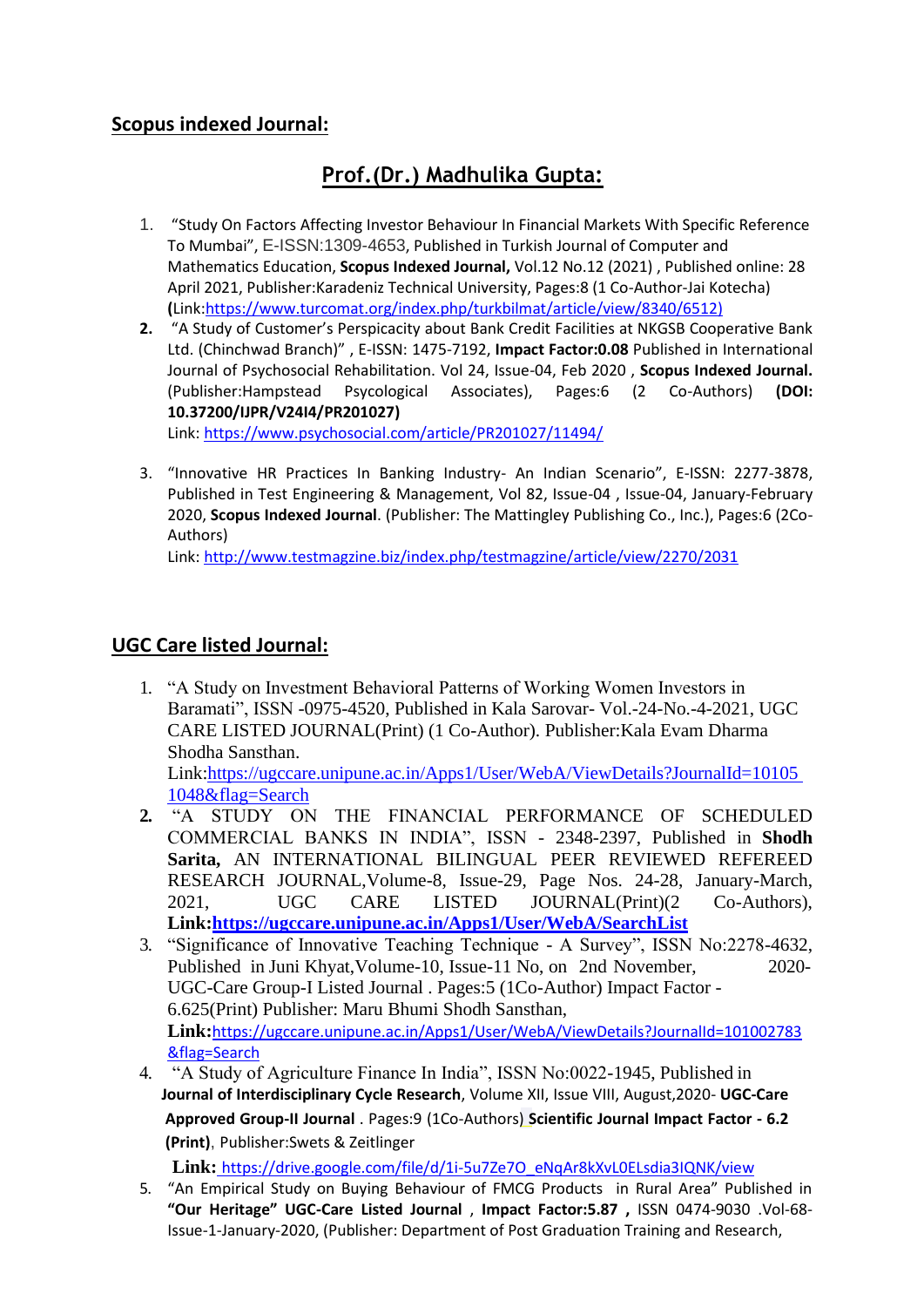## **Scopus indexed Journal:**

## **Prof.(Dr.) Madhulika Gupta:**

- 1. "Study On Factors Affecting Investor Behaviour In Financial Markets With Specific Reference To Mumbai", E-ISSN:1309-4653, Published in Turkish Journal of Computer and Mathematics Education, **Scopus Indexed Journal,** Vol.12 No.12 (2021) , Published online: 28 April 2021, Publisher:Karadeniz Technical University, Pages:8 (1 Co-Author-Jai Kotecha) **(**Link[:https://www.turcomat.org/index.php/turkbilmat/article/view/8340/6512\)](https://www.turcomat.org/index.php/turkbilmat/article/view/8340/6512)
- **2.** "A Study of Customer's Perspicacity about Bank Credit Facilities at NKGSB Cooperative Bank Ltd. (Chinchwad Branch)" , E-ISSN: 1475-7192, **Impact Factor:0.08** Published in International Journal of Psychosocial Rehabilitation. Vol 24, Issue-04, Feb 2020 , **Scopus Indexed Journal.**  (Publisher:Hampstead Psycological Associates), Pages:6 (2 Co-Authors) **(DOI[:](https://doi.org/10.37200/IJPR/V24I4/PR201027) [10.37200/IJPR/V24I4/PR201027\)](https://doi.org/10.37200/IJPR/V24I4/PR201027)**

Link:<https://www.psychosocial.com/article/PR201027/11494/>

3. "Innovative HR Practices In Banking Industry- An Indian Scenario", E-ISSN: 2277-3878, Published in Test Engineering & Management, Vol 82, Issue-04 , Issue-04, January-February 2020, **Scopus Indexed Journal**. (Publisher: The Mattingley Publishing Co., Inc.), Pages:6 (2Co-Authors)

Link:<http://www.testmagzine.biz/index.php/testmagzine/article/view/2270/2031>

## **UGC Care listed Journal:**

1. "A Study on Investment Behavioral Patterns of Working Women Investors in Baramati", ISSN -0975-4520, Published in Kala Sarovar- Vol.-24-No.-4-2021, UGC CARE LISTED JOURNAL(Print) (1 Co-Author). Publisher:Kala Evam Dharma Shodha Sansthan.

Link[:https://ugccare.unipune.ac.in/Apps1/User/WebA/ViewDetails?JournalId=10105](https://ugccare.unipune.ac.in/Apps1/User/WebA/ViewDetails?JournalId=101051048&flag=Search) [1048&flag=Search](https://ugccare.unipune.ac.in/Apps1/User/WebA/ViewDetails?JournalId=101051048&flag=Search)

- **2.** "A STUDY ON THE FINANCIAL PERFORMANCE OF SCHEDULED COMMERCIAL BANKS IN INDIA", ISSN - 2348-2397, Published in **Shodh Sarita,** AN INTERNATIONAL BILINGUAL PEER REVIEWED REFEREED RESEARCH JOURNAL,Volume-8, Issue-29, Page Nos. 24-28, January-March, 2021, UGC CARE LISTED JOURNAL(Print)(2 Co-Authors), **Link[:https://ugccare.unipune.ac.in/Apps1/User/WebA/SearchList](https://ugccare.unipune.ac.in/Apps1/User/WebA/SearchList)**
- 3. "Significance of Innovative Teaching Technique A Survey", ISSN No:2278-4632, Published in Juni Khyat,Volume-10, Issue-11 No, on 2nd November, 2020- UGC-Care Group-I Listed Journal . Pages:5 (1Co-Author) Impact Factor - 6.625(Print) Publisher: Maru Bhumi Shodh Sansthan, **Link:**[https://ugccare.unipune.ac.in/Apps1/User/WebA/ViewDetails?JournalId=101002783](https://ugccare.unipune.ac.in/Apps1/User/WebA/ViewDetails?JournalId=101002783&flag=Search) [&flag=Search](https://ugccare.unipune.ac.in/Apps1/User/WebA/ViewDetails?JournalId=101002783&flag=Search)
- 4. "A Study of Agriculture Finance In India", ISSN No:0022-1945, Published in **Journal of Interdisciplinary Cycle Research**, Volume XII, Issue VIII, August,2020- **UGC-Care Approved Group-II Journal** . Pages:9 (1Co-Authors) **Scientific Journal Impact Factor - 6.2 (Print)**, Publisher:Swets & Zeitlinger

**Link:** [https://drive.google.com/file/d/1i-5u7Ze7O\\_eNqAr8kXvL0ELsdia3IQNK/view](https://drive.google.com/file/d/1i-5u7Ze7O_eNqAr8kXvL0ELsdia3IQNK/view)

5. "An Empirical Study on Buying Behaviour of FMCG Products in Rural Area" Published in **"Our Heritage" UGC-Care Listed Journal** , **Impact Factor:5.87 ,** ISSN 0474-9030 .Vol-68- Issue-1-January-2020, (Publisher: Department of Post Graduation Training and Research,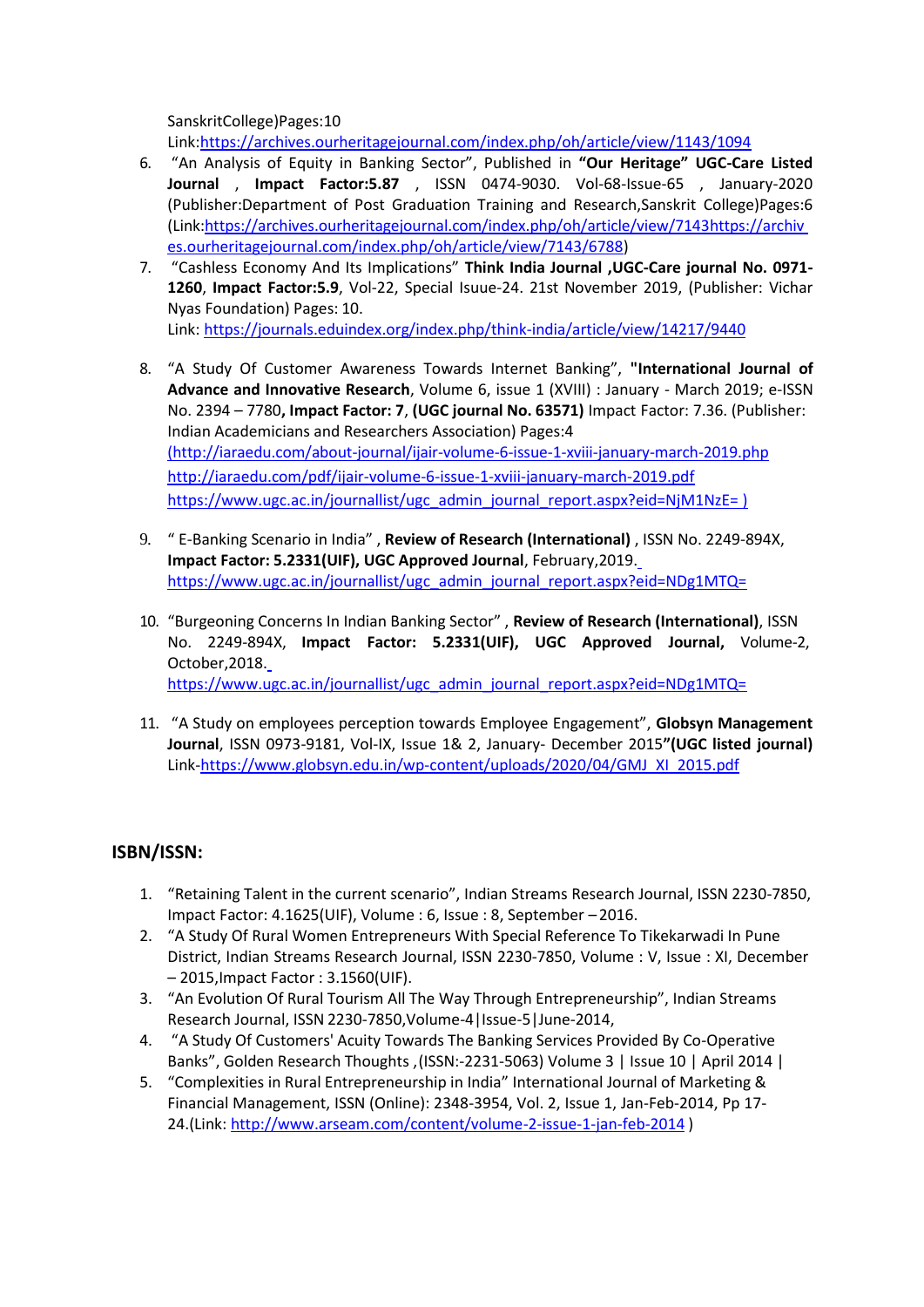SanskritCollege)Pages:10

Link[:https://archives.ourheritagejournal.com/index.php/oh/article/view/1143/1094](https://archives.ourheritagejournal.com/index.php/oh/article/view/1143/1094)

- 6. "An Analysis of Equity in Banking Sector", Published in **"Our Heritage" UGC-Care Listed Journal** , **Impact Factor:5.87** , ISSN 0474-9030. Vol-68-Issue-65 , January-2020 (Publisher:Department of Post Graduation Training and Research,Sanskrit College)Pages:6 (Link[:https://archives.ourheritagejournal.com/index.php/oh/article/view/7143https://archiv](https://archives.ourheritagejournal.com/index.php/oh/article/view/7143) [es.ourheritagejournal.com/index.php/oh/article/view/7143/6788\)](https://archives.ourheritagejournal.com/index.php/oh/article/view/7143/6788)
- 7. "Cashless Economy And Its Implications" **Think India Journal ,UGC-Care journal No. 0971- 1260**, **Impact Factor:5.9**, Vol-22, Special Isuue-24. 21st November 2019, (Publisher: Vichar Nyas Foundation) Pages: 10. Link:<https://journals.eduindex.org/index.php/think-india/article/view/14217/9440>
- 8. "A Study Of Customer Awareness Towards Internet Banking", **"International Journal of Advance and Innovative Research**, Volume 6, issue 1 (XVIII) : January - March 2019; e-ISSN No. 2394 – 7780**, Impact Factor: 7**, **(UGC journal No. 63571)** Impact Factor: 7.36. (Publisher: Indian Academicians and Researchers Association) Pages:4 [\(http://iaraedu.com/about-journal/ijair-volume-6-issue-1-xviii-january-march-2019.php](http://iaraedu.com/about-journal/ijair-volume-6-issue-1-xviii-january-march-2019.php) <http://iaraedu.com/pdf/ijair-volume-6-issue-1-xviii-january-march-2019.pdf>

[https://www.ugc.ac.in/journallist/ugc\\_admin\\_journal\\_report.aspx?eid=NjM1NzE= \)](https://www.ugc.ac.in/journallist/ugc_admin_journal_report.aspx?eid=NjM1NzE%3D)

- 9. " E-Banking Scenario in India" , **Review of Research (International)** , ISSN No. 2249-894X, **Impact Factor: 5.2331(UIF), UGC Approved Journal**, February,2019[.](https://www.ugc.ac.in/journallist/ugc_admin_journal_report.aspx?eid=NDg1MTQ%3D) [https://www.ugc.ac.in/journallist/ugc\\_admin\\_journal\\_report.aspx?eid=NDg1MTQ=](https://www.ugc.ac.in/journallist/ugc_admin_journal_report.aspx?eid=NDg1MTQ%3D)
- 10. "Burgeoning Concerns In Indian Banking Sector" , **Review of Research (International)**, ISSN No. 2249-894X, **Impact Factor: 5.2331(UIF), UGC Approved Journal,** Volume-2, October,2018[.](https://www.ugc.ac.in/journallist/ugc_admin_journal_report.aspx?eid=NDg1MTQ%3D) [https://www.ugc.ac.in/journallist/ugc\\_admin\\_journal\\_report.aspx?eid=NDg1MTQ=](https://www.ugc.ac.in/journallist/ugc_admin_journal_report.aspx?eid=NDg1MTQ%3D)
- 11. "A Study on employees perception towards Employee Engagement", **Globsyn Management Journal**, ISSN 0973-9181, Vol-IX, Issue 1& 2, January- December 2015**"(UGC listed journal)**  Link[-https://www.globsyn.edu.in/wp-content/uploads/2020/04/GMJ\\_XI\\_2015.pdf](https://www.globsyn.edu.in/wp-content/uploads/2020/04/GMJ_XI_2015.pdf)

## **ISBN/ISSN:**

- 1. "Retaining Talent in the current scenario", Indian Streams Research Journal, ISSN 2230-7850, Impact Factor: 4.1625(UIF), Volume : 6, Issue : 8, September –2016.
- 2. "A Study Of Rural Women Entrepreneurs With Special Reference To Tikekarwadi In Pune District, Indian Streams Research Journal, ISSN 2230-7850, Volume : V, Issue : XI, December – 2015,Impact Factor : 3.1560(UIF).
- 3. "An Evolution Of Rural Tourism All The Way Through Entrepreneurship", Indian Streams Research Journal, ISSN 2230-7850,Volume-4|Issue-5|June-2014,
- 4. "A Study Of Customers' Acuity Towards The Banking Services Provided By Co-Operative Banks", Golden Research Thoughts ,(ISSN:-2231-5063) Volume 3 | Issue 10 | April 2014 |
- 5. "Complexities in Rural Entrepreneurship in India" International Journal of Marketing & Financial Management, ISSN (Online): 2348-3954, Vol. 2, Issue 1, Jan-Feb-2014, Pp 17- 24.(Link: <http://www.arseam.com/content/volume-2-issue-1-jan-feb-2014> )